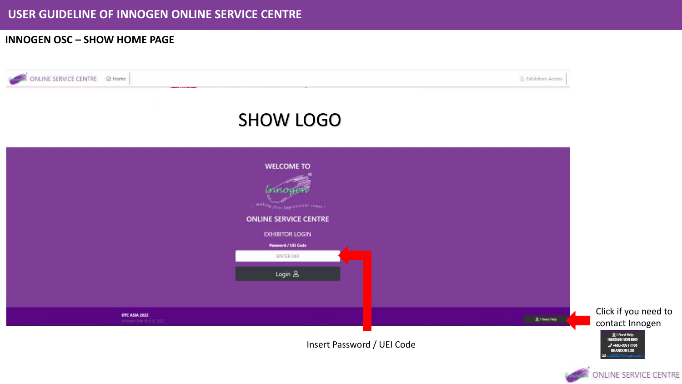### **INNOGEN OSC – SHOW HOME PAGE**

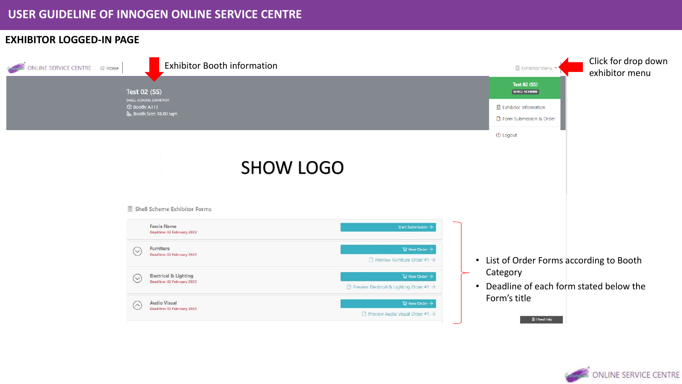## **EXHIBITOR LOGGED-IN PAGE**

| <b>Exhibitor Booth information</b><br>ONLINE SERVICE CENTRE @ Home | Click for drop down<br>图 Exhibitor Menu *<br>exhibitor menu                                                                                     |
|--------------------------------------------------------------------|-------------------------------------------------------------------------------------------------------------------------------------------------|
| <b>Test 02 (SS)</b>                                                | <b>Test 02 (SS)</b><br><b>SHELL SCHEME</b>                                                                                                      |
| SHELL SCHEME EXHIBITOR<br>C Booth: A110<br>Booth Size: 18.00 sqm   | <b>图</b> Exhibitor Information<br>Form Submission & Order                                                                                       |
|                                                                    | (J) Logout                                                                                                                                      |
| <b>SHOW LOGO</b>                                                   |                                                                                                                                                 |
| Shell Scheme Exhibitor Forms                                       |                                                                                                                                                 |
| Fascia Name<br>Deadline: 02 February 2022                          | Start Submission -                                                                                                                              |
| Furniture<br>$\odot$<br>Deadline: 02 February 2022                 | $\mathbb{R}$ New Order $\rightarrow$<br>List of Order Forms according to Booth<br>$\Box$ Preview Furniture Order #1 $\rightarrow$<br>$\bullet$  |
| Electrical & Lighting<br>$\odot$<br>Deadline: 02 February 2022     | Category<br>日 New Order →<br>Deadline of each form stated below the<br>$\Box$ Preview Electrical & Lighting Order #1 $\rightarrow$<br>$\bullet$ |
| Audio Visual<br>$(\wedge)$<br>Deadline: 02 February 2022           | Form's title<br>$\mathbb{R}$ New Order $\rightarrow$<br>$\Box$ Preview Audio Visual Order #1 $\rightarrow$<br>2   Need Help                     |

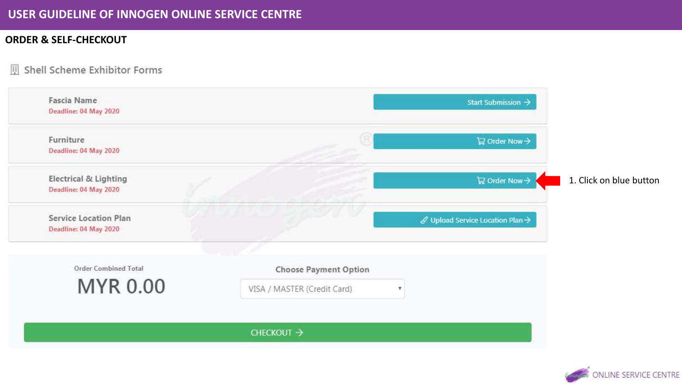## **ORDER & SELF-CHECKOUT**

#### 围 Shell Scheme Exhibitor Forms



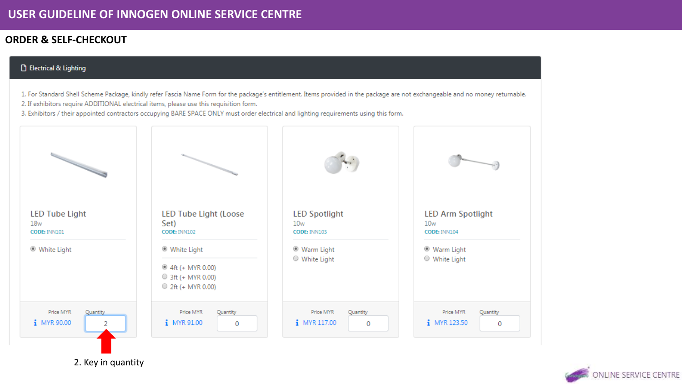## **ORDER & SELF-CHECKOUT**

#### **B** Electrical & Lighting

- 1. For Standard Shell Scheme Package, kindly refer Fascia Name Form for the package's entitlement. Items provided in the package are not exchangeable and no money returnable.
- 2. If exhibitors require ADDITIONAL electrical items, please use this requisition form.
- 3. Exhibitors / their appointed contractors occupying BARE SPACE ONLY must order electrical and lighting requirements using this form.



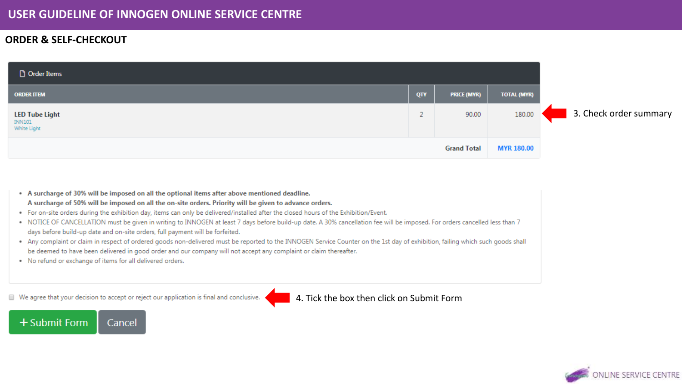### **ORDER & SELF-CHECKOUT**

| Order Items                                    |             |                    |                    |                        |
|------------------------------------------------|-------------|--------------------|--------------------|------------------------|
| <b>ORDER ITEM</b>                              | QTY         | <b>PRICE (MYR)</b> | <b>TOTAL (MYR)</b> |                        |
| <b>LED Tube Light</b><br>INN101<br>White Light | $\sim$<br>∠ | 90.00              | 180.00             | 3. Check order summary |
| <b>Grand Total</b>                             |             |                    | <b>MYR 180.00</b>  |                        |

. A surcharge of 30% will be imposed on all the optional items after above mentioned deadline. A surcharge of 50% will be imposed on all the on-site orders. Priority will be given to advance orders. . For on-site orders during the exhibition day, items can only be delivered/installed after the closed hours of the Exhibition/Event. . NOTICE OF CANCELLATION must be given in writing to INNOGEN at least 7 days before build-up date. A 30% cancellation fee will be imposed. For orders cancelled less than 7 days before build-up date and on-site orders, full payment will be forfeited. . Any complaint or claim in respect of ordered goods non-delivered must be reported to the INNOGEN Service Counter on the 1st day of exhibition, failing which such goods shall be deemed to have been delivered in good order and our company will not accept any complaint or claim thereafter. . No refund or exchange of items for all delivered orders.

We agree that your decision to accept or reject our application is final and conclusive.

+ Submit Form Cancel 4. Tick the box then click on Submit Form

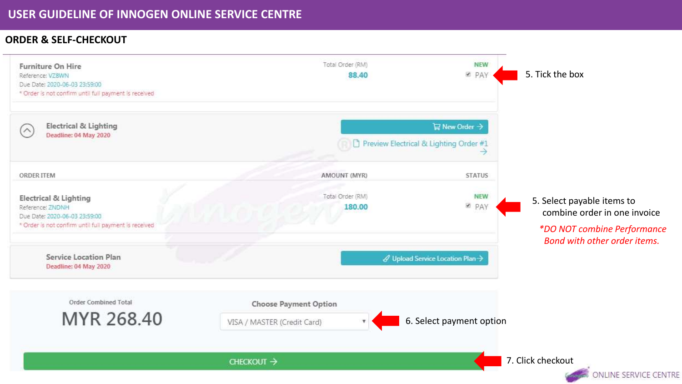### **ORDER & SELF-CHECKOUT**

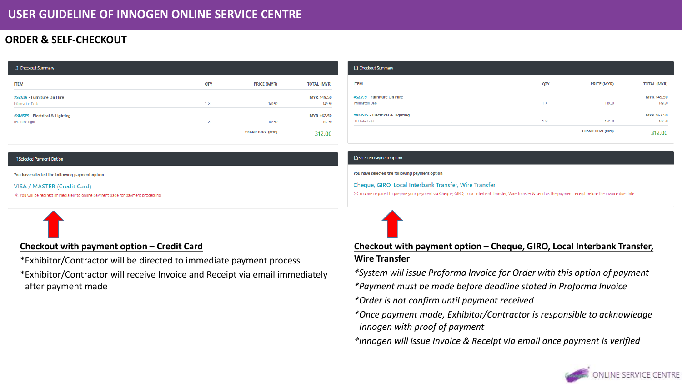## **ORDER & SELF-CHECKOUT**

| Checkout Summary                                      |            |                          |                             |
|-------------------------------------------------------|------------|--------------------------|-----------------------------|
| <b>ITEM</b>                                           | QTY        | <b>PRICE (MYR)</b>       | <b>TOTAL (MYR)</b>          |
| #SZVJ9 - Furniture On Hire<br><b>Information Desk</b> | $1 \times$ | 149.50                   | <b>MYR 149.50</b><br>149.50 |
|                                                       |            |                          |                             |
| #XMSFS - Electrical & Lighting                        |            |                          | <b>MYR 162.50</b>           |
| LED Tube Light                                        | $1 \times$ | 162.50                   | 162.50                      |
|                                                       |            | <b>GRAND TOTAL (MYR)</b> | 312.00                      |

| <b>Checkout Summary</b>                               |            |                          |                             |
|-------------------------------------------------------|------------|--------------------------|-----------------------------|
| <b>ITEM</b>                                           | <b>QTY</b> | <b>PRICE (MYR)</b>       | <b>TOTAL (MYR)</b>          |
| #SZVJ9 - Furniture On Hire<br><b>Information Desk</b> | $1 \times$ | 149.50                   | <b>MYR 149.50</b><br>149.50 |
| #XMSFS - Electrical & Lighting                        |            |                          | <b>MYR 162.50</b>           |
| LED Tube Light                                        | $1 \times$ | 162.50                   | 162.50                      |
|                                                       |            | <b>GRAND TOTAL (MYR)</b> | 312.00                      |

#### Selected Payment Option

You have selected the following payment option

#### **VISA / MASTER (Credit Card)**

\* You will be redirect immediately to online payment page for payment processing



### **Checkout with payment option – Credit Card**

\*Exhibitor/Contractor will be directed to immediate payment process

\*Exhibitor/Contractor will receive Invoice and Receipt via email immediately after payment made

#### **B** Selected Payment Option

#### You have selected the following payment option

Cheque, GIRO, Local Interbank Transfer, Wire Transfer

X You are required to prepare your payment via Cheque, GIRO, Local Interbank Transfer, Wire Transfer & send us the payment receipt before the invoice due date



### **Checkout with payment option – Cheque, GIRO, Local Interbank Transfer, Wire Transfer**

*\*System will issue Proforma Invoice for Order with this option of payment*

*\*Payment must be made before deadline stated in Proforma Invoice*

*\*Order is not confirm until payment received*

*\*Once payment made, Exhibitor/Contractor is responsible to acknowledge Innogen with proof of payment*

*\*Innogen will issue Invoice & Receipt via email once payment is verified*